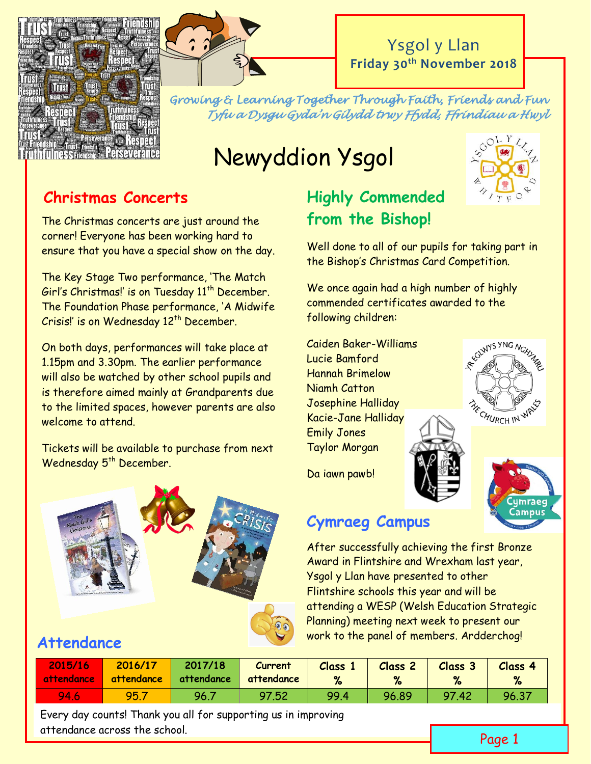



Ysgol y Llan **Friday 30th November 2018**

*Growing & Learning Together Through Faith, Friends and Fun Tyfu a Dysgu Gyda'n Gilydd trwy Ffydd, Ffrindiau a Hwyl* 

# Newyddion Ysgol

## **Christmas Concerts**

The Christmas concerts are just around the corner! Everyone has been working hard to ensure that you have a special show on the day.

The Key Stage Two performance, 'The Match Girl's Christmas!' is on Tuesday  $11<sup>th</sup>$  December. The Foundation Phase performance, 'A Midwife Crisis!' is on Wednesday  $12<sup>th</sup>$  December.

On both days, performances will take place at 1.15pm and 3.30pm. The earlier performance will also be watched by other school pupils and is therefore aimed mainly at Grandparents due to the limited spaces, however parents are also welcome to attend.

Tickets will be available to purchase from next Wednesday 5<sup>th</sup> December.



## **Attendance**

## **Highly Commended from the Bishop!**



Well done to all of our pupils for taking part in the Bishop's Christmas Card Competition.

We once again had a high number of highly commended certificates awarded to the following children:

Caiden Baker-Williams<br>Lucie Bamford<br>And Alexander And Alexander Security Lucie Bamford Hannah Brimelow Niamh Catton Josephine Halliday Kacie-Jane Halliday Emily Jones Taylor Morgan



Da iawn pawb!

## **Cymraeg Campus**

After successfully achieving the first Bronze Award in Flintshire and Wrexham last year, Ysgol y Llan have presented to other Flintshire schools this year and will be attending a WESP (Welsh Education Strategic Planning) meeting next week to present our work to the panel of members. Ardderchog!

| 2015/16<br>attendance | 2016/17<br>attendance | 2017/18<br>attendance | Current<br>attendance | <b>Class</b> | Class 2 | Class 3 | <b>Class 4</b><br>% |
|-----------------------|-----------------------|-----------------------|-----------------------|--------------|---------|---------|---------------------|
| 94.6                  | 95.1                  | 96.7                  | 97.52                 | 99.4         | 96.89   | 97.42   | 96.37               |

Every day counts! Thank you all for supporting us in improving attendance across the school.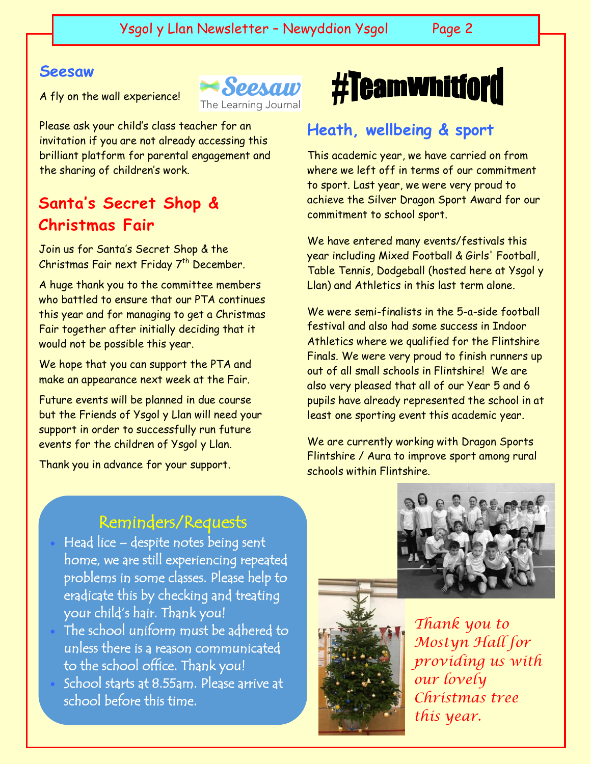#### **Seesaw**

A fly on the wall experience!



Please ask your child's class teacher for an invitation if you are not already accessing this brilliant platform for parental engagement and the sharing of children's work.

## **Santa's Secret Shop & Christmas Fair**

Join us for Santa's Secret Shop & the Christmas Fair next Friday  $7<sup>th</sup>$  December.

A huge thank you to the committee members who battled to ensure that our PTA continues this year and for managing to get a Christmas Fair together after initially deciding that it would not be possible this year.

We hope that you can support the PTA and make an appearance next week at the Fair.

Future events will be planned in due course but the Friends of Ysgol y Llan will need your support in order to successfully run future events for the children of Ysgol y Llan.

Thank you in advance for your support.



## **Heath, wellbeing & sport**

This academic year, we have carried on from where we left off in terms of our commitment to sport. Last year, we were very proud to achieve the Silver Dragon Sport Award for our commitment to school sport.

We have entered many events/festivals this year including Mixed Football & Girls' Football, Table Tennis, Dodgeball (hosted here at Ysgol y Llan) and Athletics in this last term alone.

We were semi-finalists in the 5-a-side football festival and also had some success in Indoor Athletics where we qualified for the Flintshire Finals. We were very proud to finish runners up out of all small schools in Flintshire! We are also very pleased that all of our Year 5 and 6 pupils have already represented the school in at least one sporting event this academic year.

We are currently working with Dragon Sports Flintshire / Aura to improve sport among rural schools within Flintshire.

## Reminders/Requests

- Head lice despite notes being sent home, we are still experiencing repeated problems in some classes. Please help to eradicate this by checking and treating your child's hair. Thank you!
- The school uniform must be adhered to unless there is a reason communicated to the school office. Thank you!
- School starts at 8.55am. Please arrive at school before this time.





*Thank you to Mostyn Hall for providing us with our lovely Christmas tree this year.*